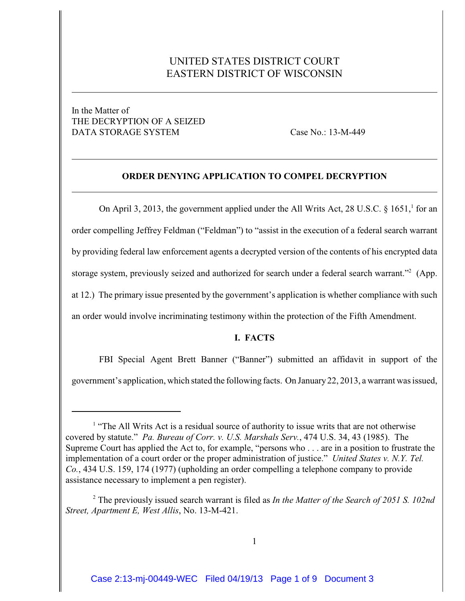# UNITED STATES DISTRICT COURT EASTERN DISTRICT OF WISCONSIN

## In the Matter of THE DECRYPTION OF A SEIZED DATA STORAGE SYSTEM Case No.: 13-M-449

### **ORDER DENYING APPLICATION TO COMPEL DECRYPTION**

On April 3, 2013, the government applied under the All Writs Act, 28 U.S.C.  $\S$  1651, for an order compelling Jeffrey Feldman ("Feldman") to "assist in the execution of a federal search warrant by providing federal law enforcement agents a decrypted version of the contents of his encrypted data storage system, previously seized and authorized for search under a federal search warrant."<sup>2</sup> (App. at 12.) The primary issue presented by the government's application is whether compliance with such an order would involve incriminating testimony within the protection of the Fifth Amendment.

### **I. FACTS**

FBI Special Agent Brett Banner ("Banner") submitted an affidavit in support of the government's application, which stated the following facts. On January 22, 2013, a warrant was issued,

 $<sup>1</sup>$  "The All Writs Act is a residual source of authority to issue writs that are not otherwise</sup> covered by statute." *Pa. Bureau of Corr. v. U.S. Marshals Serv.*, 474 U.S. 34, 43 (1985). The Supreme Court has applied the Act to, for example, "persons who . . . are in a position to frustrate the implementation of a court order or the proper administration of justice." *United States v. N.Y. Tel. Co.*, 434 U.S. 159, 174 (1977) (upholding an order compelling a telephone company to provide assistance necessary to implement a pen register).

<sup>&</sup>lt;sup>2</sup> The previously issued search warrant is filed as *In the Matter of the Search of 2051 S. 102nd Street, Apartment E, West Allis*, No. 13-M-421.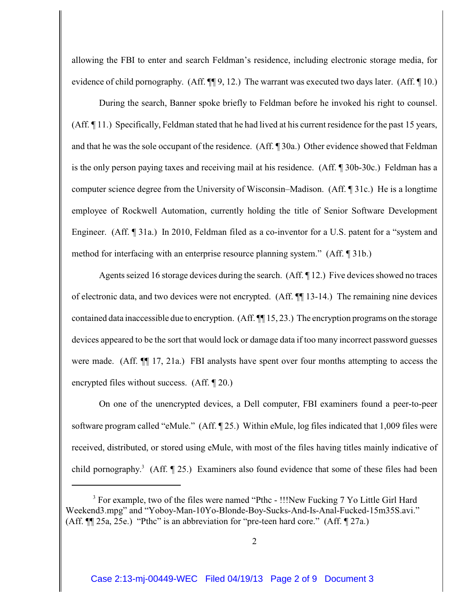allowing the FBI to enter and search Feldman's residence, including electronic storage media, for evidence of child pornography. (Aff.  $\P$ [9, 12.) The warrant was executed two days later. (Aff.  $\P$ 10.)

During the search, Banner spoke briefly to Feldman before he invoked his right to counsel. (Aff. ¶ 11.) Specifically, Feldman stated that he had lived at his current residence for the past 15 years, and that he was the sole occupant of the residence. (Aff. ¶ 30a.) Other evidence showed that Feldman is the only person paying taxes and receiving mail at his residence. (Aff. ¶ 30b-30c.) Feldman has a computer science degree from the University of Wisconsin–Madison. (Aff. ¶ 31c.) He is a longtime employee of Rockwell Automation, currently holding the title of Senior Software Development Engineer. (Aff. ¶ 31a.) In 2010, Feldman filed as a co-inventor for a U.S. patent for a "system and method for interfacing with an enterprise resource planning system." (Aff. ¶ 31b.)

Agents seized 16 storage devices during the search. (Aff. ¶ 12.) Five devices showed no traces of electronic data, and two devices were not encrypted. (Aff. ¶¶ 13-14.) The remaining nine devices contained data inaccessible due to encryption. (Aff. ¶¶ 15, 23.) The encryption programs on the storage devices appeared to be the sort that would lock or damage data if too many incorrect password guesses were made. (Aff.  $\P$  17, 21a.) FBI analysts have spent over four months attempting to access the encrypted files without success. (Aff. ¶ 20.)

On one of the unencrypted devices, a Dell computer, FBI examiners found a peer-to-peer software program called "eMule." (Aff. ¶ 25.) Within eMule, log files indicated that 1,009 files were received, distributed, or stored using eMule, with most of the files having titles mainly indicative of child pornography.<sup>3</sup> (Aff.  $\P$  25.) Examiners also found evidence that some of these files had been

<sup>&</sup>lt;sup>3</sup> For example, two of the files were named "Pthc - !!!New Fucking 7 Yo Little Girl Hard Weekend3.mpg" and "Yoboy-Man-10Yo-Blonde-Boy-Sucks-And-Is-Anal-Fucked-15m35S.avi." (Aff. ¶¶ 25a, 25e.) "Pthc" is an abbreviation for "pre-teen hard core." (Aff. ¶ 27a.)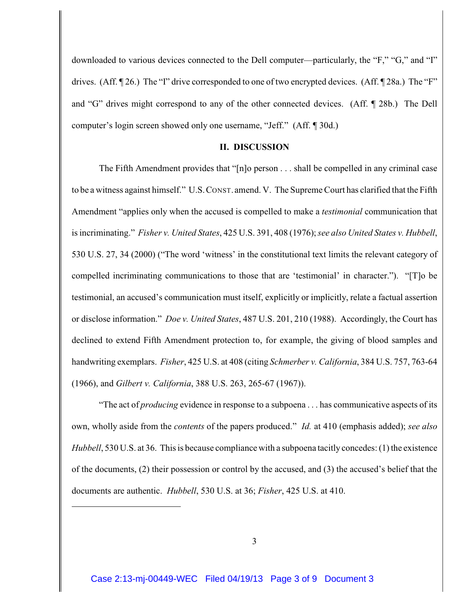downloaded to various devices connected to the Dell computer—particularly, the "F," "G," and "I" drives. (Aff. 126.) The "I" drive corresponded to one of two encrypted devices. (Aff. 128a.) The "F" and "G" drives might correspond to any of the other connected devices. (Aff. ¶ 28b.) The Dell computer's login screen showed only one username, "Jeff." (Aff. ¶ 30d.)

#### **II. DISCUSSION**

The Fifth Amendment provides that "[n]o person . . . shall be compelled in any criminal case to be a witness against himself." U.S.CONST. amend. V. The SupremeCourt has clarified that the Fifth Amendment "applies only when the accused is compelled to make a *testimonial* communication that is incriminating." *Fisher v. United States*, 425 U.S. 391, 408 (1976); *see also United States v. Hubbell*, 530 U.S. 27, 34 (2000) ("The word 'witness' in the constitutional text limits the relevant category of compelled incriminating communications to those that are 'testimonial' in character."). "[T]o be testimonial, an accused's communication must itself, explicitly or implicitly, relate a factual assertion or disclose information." *Doe v. United States*, 487 U.S. 201, 210 (1988). Accordingly, the Court has declined to extend Fifth Amendment protection to, for example, the giving of blood samples and handwriting exemplars. *Fisher*, 425 U.S. at 408 (citing *Schmerber v. California*, 384 U.S. 757, 763-64 (1966), and *Gilbert v. California*, 388 U.S. 263, 265-67 (1967)).

"The act of *producing* evidence in response to a subpoena . . . has communicative aspects of its own, wholly aside from the *contents* of the papers produced." *Id.* at 410 (emphasis added); *see also Hubbell*, 530 U.S. at 36. This is because compliance with a subpoena tacitly concedes: (1) the existence of the documents, (2) their possession or control by the accused, and (3) the accused's belief that the documents are authentic. *Hubbell*, 530 U.S. at 36; *Fisher*, 425 U.S. at 410.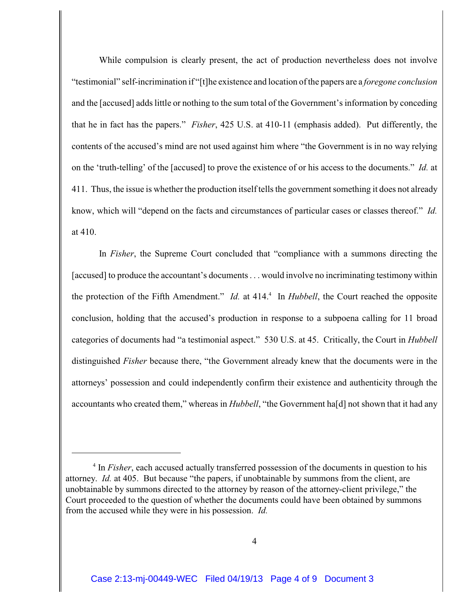While compulsion is clearly present, the act of production nevertheless does not involve "testimonial" self-incrimination if "[t]he existence and location of the papers are a *foregone conclusion* and the [accused] adds little or nothing to the sum total of the Government's information by conceding that he in fact has the papers." *Fisher*, 425 U.S. at 410-11 (emphasis added). Put differently, the contents of the accused's mind are not used against him where "the Government is in no way relying on the 'truth-telling' of the [accused] to prove the existence of or his access to the documents." *Id.* at 411. Thus, the issue is whether the production itself tells the government something it does not already know, which will "depend on the facts and circumstances of particular cases or classes thereof." *Id.* at 410.

In *Fisher*, the Supreme Court concluded that "compliance with a summons directing the [accused] to produce the accountant's documents. . . would involve no incriminating testimony within the protection of the Fifth Amendment." *Id.* at 414.<sup>4</sup> In *Hubbell*, the Court reached the opposite conclusion, holding that the accused's production in response to a subpoena calling for 11 broad categories of documents had "a testimonial aspect." 530 U.S. at 45. Critically, the Court in *Hubbell* distinguished *Fisher* because there, "the Government already knew that the documents were in the attorneys' possession and could independently confirm their existence and authenticity through the accountants who created them," whereas in *Hubbell*, "the Government ha[d] not shown that it had any

<sup>&</sup>lt;sup>4</sup> In *Fisher*, each accused actually transferred possession of the documents in question to his attorney. *Id.* at 405. But because "the papers, if unobtainable by summons from the client, are unobtainable by summons directed to the attorney by reason of the attorney-client privilege," the Court proceeded to the question of whether the documents could have been obtained by summons from the accused while they were in his possession. *Id.*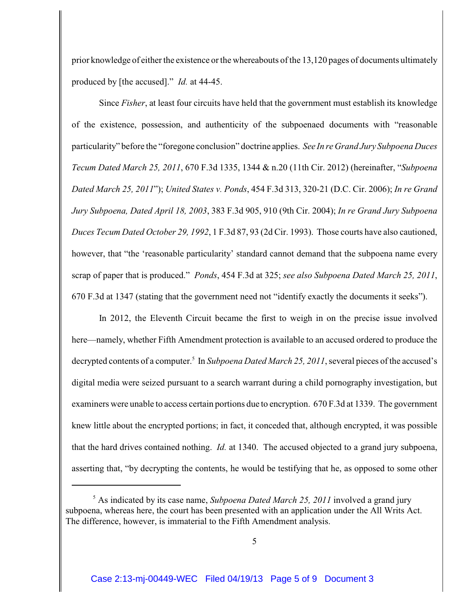prior knowledge of either the existence or the whereabouts ofthe 13,120 pages of documents ultimately produced by [the accused]." *Id.* at 44-45.

Since *Fisher*, at least four circuits have held that the government must establish its knowledge of the existence, possession, and authenticity of the subpoenaed documents with "reasonable particularity" before the "foregone conclusion" doctrine applies. *See In re Grand Jury Subpoena Duces Tecum Dated March 25, 2011*, 670 F.3d 1335, 1344 & n.20 (11th Cir. 2012) (hereinafter, "*Subpoena Dated March 25, 2011*"); *United States v. Ponds*, 454 F.3d 313, 320-21 (D.C. Cir. 2006); *In re Grand Jury Subpoena, Dated April 18, 2003*, 383 F.3d 905, 910 (9th Cir. 2004); *In re Grand Jury Subpoena Duces Tecum Dated October 29, 1992*, 1 F.3d 87, 93 (2d Cir. 1993). Those courts have also cautioned, however, that "the 'reasonable particularity' standard cannot demand that the subpoena name every scrap of paper that is produced." *Ponds*, 454 F.3d at 325; *see also Subpoena Dated March 25, 2011*, 670 F.3d at 1347 (stating that the government need not "identify exactly the documents it seeks").

In 2012, the Eleventh Circuit became the first to weigh in on the precise issue involved here—namely, whether Fifth Amendment protection is available to an accused ordered to produce the decrypted contents of a computer.<sup>5</sup> In *Subpoena Dated March 25, 2011*, several pieces of the accused's digital media were seized pursuant to a search warrant during a child pornography investigation, but examiners were unable to access certain portions due to encryption. 670 F.3d at 1339. The government knew little about the encrypted portions; in fact, it conceded that, although encrypted, it was possible that the hard drives contained nothing. *Id.* at 1340. The accused objected to a grand jury subpoena, asserting that, "by decrypting the contents, he would be testifying that he, as opposed to some other

<sup>&</sup>lt;sup>5</sup> As indicated by its case name, *Subpoena Dated March 25, 2011* involved a grand jury subpoena, whereas here, the court has been presented with an application under the All Writs Act. The difference, however, is immaterial to the Fifth Amendment analysis.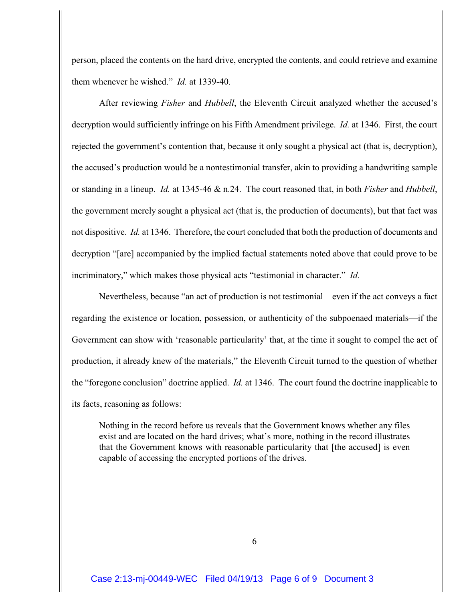person, placed the contents on the hard drive, encrypted the contents, and could retrieve and examine them whenever he wished." *Id.* at 1339-40.

After reviewing *Fisher* and *Hubbell*, the Eleventh Circuit analyzed whether the accused's decryption would sufficiently infringe on his Fifth Amendment privilege. *Id.* at 1346. First, the court rejected the government's contention that, because it only sought a physical act (that is, decryption), the accused's production would be a nontestimonial transfer, akin to providing a handwriting sample or standing in a lineup. *Id.* at 1345-46 & n.24. The court reasoned that, in both *Fisher* and *Hubbell*, the government merely sought a physical act (that is, the production of documents), but that fact was not dispositive. *Id.* at 1346. Therefore, the court concluded that both the production of documents and decryption "[are] accompanied by the implied factual statements noted above that could prove to be incriminatory," which makes those physical acts "testimonial in character." *Id.*

Nevertheless, because "an act of production is not testimonial—even if the act conveys a fact regarding the existence or location, possession, or authenticity of the subpoenaed materials—if the Government can show with 'reasonable particularity' that, at the time it sought to compel the act of production, it already knew of the materials," the Eleventh Circuit turned to the question of whether the "foregone conclusion" doctrine applied. *Id.* at 1346. The court found the doctrine inapplicable to its facts, reasoning as follows:

Nothing in the record before us reveals that the Government knows whether any files exist and are located on the hard drives; what's more, nothing in the record illustrates that the Government knows with reasonable particularity that [the accused] is even capable of accessing the encrypted portions of the drives.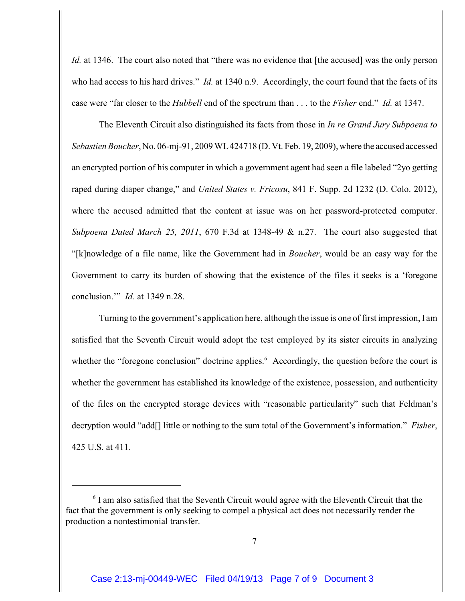*Id.* at 1346. The court also noted that "there was no evidence that [the accused] was the only person who had access to his hard drives." *Id.* at 1340 n.9. Accordingly, the court found that the facts of its case were "far closer to the *Hubbell* end of the spectrum than . . . to the *Fisher* end." *Id.* at 1347.

The Eleventh Circuit also distinguished its facts from those in *In re Grand Jury Subpoena to Sebastien Boucher*, No. 06-mj-91, 2009 WL 424718 (D. Vt. Feb. 19, 2009), where the accused accessed an encrypted portion of his computer in which a government agent had seen a file labeled "2yo getting raped during diaper change," and *United States v. Fricosu*, 841 F. Supp. 2d 1232 (D. Colo. 2012), where the accused admitted that the content at issue was on her password-protected computer. *Subpoena Dated March 25, 2011*, 670 F.3d at 1348-49 & n.27. The court also suggested that "[k]nowledge of a file name, like the Government had in *Boucher*, would be an easy way for the Government to carry its burden of showing that the existence of the files it seeks is a 'foregone conclusion.'" *Id.* at 1349 n.28.

Turning to the government's application here, although the issue is one of first impression, I am satisfied that the Seventh Circuit would adopt the test employed by its sister circuits in analyzing whether the "foregone conclusion" doctrine applies.<sup>6</sup> Accordingly, the question before the court is whether the government has established its knowledge of the existence, possession, and authenticity of the files on the encrypted storage devices with "reasonable particularity" such that Feldman's decryption would "add[] little or nothing to the sum total of the Government's information." *Fisher*, 425 U.S. at 411.

 $6$  I am also satisfied that the Seventh Circuit would agree with the Eleventh Circuit that the fact that the government is only seeking to compel a physical act does not necessarily render the production a nontestimonial transfer.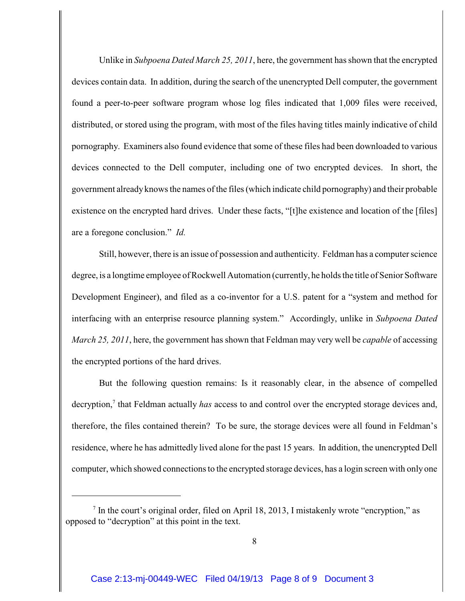Unlike in *Subpoena Dated March 25, 2011*, here, the government has shown that the encrypted devices contain data. In addition, during the search of the unencrypted Dell computer, the government found a peer-to-peer software program whose log files indicated that 1,009 files were received, distributed, or stored using the program, with most of the files having titles mainly indicative of child pornography. Examiners also found evidence that some of these files had been downloaded to various devices connected to the Dell computer, including one of two encrypted devices. In short, the government already knows the names of the files (which indicate child pornography) and their probable existence on the encrypted hard drives. Under these facts, "[t]he existence and location of the [files] are a foregone conclusion." *Id.*

Still, however, there is an issue of possession and authenticity. Feldman has a computer science degree, is a longtime employee of Rockwell Automation (currently, he holds the title of Senior Software Development Engineer), and filed as a co-inventor for a U.S. patent for a "system and method for interfacing with an enterprise resource planning system." Accordingly, unlike in *Subpoena Dated March 25, 2011*, here, the government has shown that Feldman may very well be *capable* of accessing the encrypted portions of the hard drives.

But the following question remains: Is it reasonably clear, in the absence of compelled decryption,<sup>7</sup> that Feldman actually *has* access to and control over the encrypted storage devices and, therefore, the files contained therein? To be sure, the storage devices were all found in Feldman's residence, where he has admittedly lived alone for the past 15 years. In addition, the unencrypted Dell computer, which showed connections to the encrypted storage devices, has a login screen with only one

 $\frac{7}{1}$  In the court's original order, filed on April 18, 2013, I mistakenly wrote "encryption," as opposed to "decryption" at this point in the text.